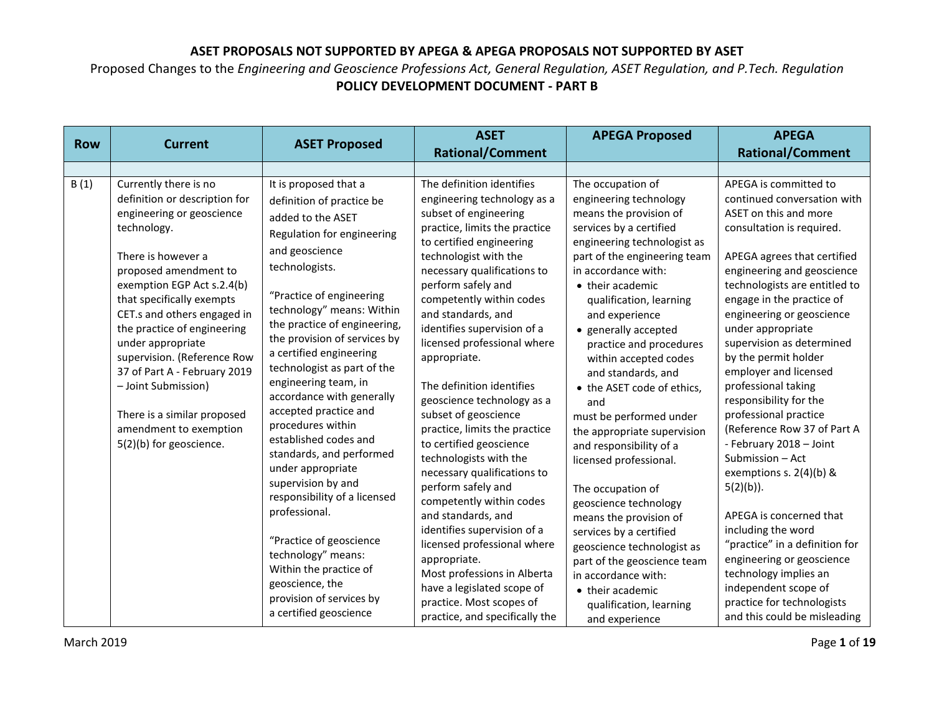|            |                                                                                                                                                                                                                                                                                                                                                                                                                                                                           |                                                                                                                                                                                                                                                                                                                                                                                                                                                                                                                                                                                                                                                                                                                                      | <b>ASET</b>                                                                                                                                                                                                                                                                                                                                                                                                                                                                                                                                                                                                                                                                                                                                                                                                                                           | <b>APEGA Proposed</b>                                                                                                                                                                                                                                                                                                                                                                                                                                                                                                                                                                                                                                                                                                                                                 | <b>APEGA</b>                                                                                                                                                                                                                                                                                                                                                                                                                                                                                                                                                                                                                                                                                                                                                                                            |
|------------|---------------------------------------------------------------------------------------------------------------------------------------------------------------------------------------------------------------------------------------------------------------------------------------------------------------------------------------------------------------------------------------------------------------------------------------------------------------------------|--------------------------------------------------------------------------------------------------------------------------------------------------------------------------------------------------------------------------------------------------------------------------------------------------------------------------------------------------------------------------------------------------------------------------------------------------------------------------------------------------------------------------------------------------------------------------------------------------------------------------------------------------------------------------------------------------------------------------------------|-------------------------------------------------------------------------------------------------------------------------------------------------------------------------------------------------------------------------------------------------------------------------------------------------------------------------------------------------------------------------------------------------------------------------------------------------------------------------------------------------------------------------------------------------------------------------------------------------------------------------------------------------------------------------------------------------------------------------------------------------------------------------------------------------------------------------------------------------------|-----------------------------------------------------------------------------------------------------------------------------------------------------------------------------------------------------------------------------------------------------------------------------------------------------------------------------------------------------------------------------------------------------------------------------------------------------------------------------------------------------------------------------------------------------------------------------------------------------------------------------------------------------------------------------------------------------------------------------------------------------------------------|---------------------------------------------------------------------------------------------------------------------------------------------------------------------------------------------------------------------------------------------------------------------------------------------------------------------------------------------------------------------------------------------------------------------------------------------------------------------------------------------------------------------------------------------------------------------------------------------------------------------------------------------------------------------------------------------------------------------------------------------------------------------------------------------------------|
| <b>Row</b> | <b>Current</b>                                                                                                                                                                                                                                                                                                                                                                                                                                                            | <b>ASET Proposed</b>                                                                                                                                                                                                                                                                                                                                                                                                                                                                                                                                                                                                                                                                                                                 | <b>Rational/Comment</b>                                                                                                                                                                                                                                                                                                                                                                                                                                                                                                                                                                                                                                                                                                                                                                                                                               |                                                                                                                                                                                                                                                                                                                                                                                                                                                                                                                                                                                                                                                                                                                                                                       | <b>Rational/Comment</b>                                                                                                                                                                                                                                                                                                                                                                                                                                                                                                                                                                                                                                                                                                                                                                                 |
|            |                                                                                                                                                                                                                                                                                                                                                                                                                                                                           |                                                                                                                                                                                                                                                                                                                                                                                                                                                                                                                                                                                                                                                                                                                                      |                                                                                                                                                                                                                                                                                                                                                                                                                                                                                                                                                                                                                                                                                                                                                                                                                                                       |                                                                                                                                                                                                                                                                                                                                                                                                                                                                                                                                                                                                                                                                                                                                                                       |                                                                                                                                                                                                                                                                                                                                                                                                                                                                                                                                                                                                                                                                                                                                                                                                         |
| B(1)       | Currently there is no<br>definition or description for<br>engineering or geoscience<br>technology.<br>There is however a<br>proposed amendment to<br>exemption EGP Act s.2.4(b)<br>that specifically exempts<br>CET.s and others engaged in<br>the practice of engineering<br>under appropriate<br>supervision. (Reference Row<br>37 of Part A - February 2019<br>- Joint Submission)<br>There is a similar proposed<br>amendment to exemption<br>5(2)(b) for geoscience. | It is proposed that a<br>definition of practice be<br>added to the ASET<br>Regulation for engineering<br>and geoscience<br>technologists.<br>"Practice of engineering<br>technology" means: Within<br>the practice of engineering,<br>the provision of services by<br>a certified engineering<br>technologist as part of the<br>engineering team, in<br>accordance with generally<br>accepted practice and<br>procedures within<br>established codes and<br>standards, and performed<br>under appropriate<br>supervision by and<br>responsibility of a licensed<br>professional.<br>"Practice of geoscience<br>technology" means:<br>Within the practice of<br>geoscience, the<br>provision of services by<br>a certified geoscience | The definition identifies<br>engineering technology as a<br>subset of engineering<br>practice, limits the practice<br>to certified engineering<br>technologist with the<br>necessary qualifications to<br>perform safely and<br>competently within codes<br>and standards, and<br>identifies supervision of a<br>licensed professional where<br>appropriate.<br>The definition identifies<br>geoscience technology as a<br>subset of geoscience<br>practice, limits the practice<br>to certified geoscience<br>technologists with the<br>necessary qualifications to<br>perform safely and<br>competently within codes<br>and standards, and<br>identifies supervision of a<br>licensed professional where<br>appropriate.<br>Most professions in Alberta<br>have a legislated scope of<br>practice. Most scopes of<br>practice, and specifically the | The occupation of<br>engineering technology<br>means the provision of<br>services by a certified<br>engineering technologist as<br>part of the engineering team<br>in accordance with:<br>• their academic<br>qualification, learning<br>and experience<br>• generally accepted<br>practice and procedures<br>within accepted codes<br>and standards, and<br>• the ASET code of ethics,<br>and<br>must be performed under<br>the appropriate supervision<br>and responsibility of a<br>licensed professional.<br>The occupation of<br>geoscience technology<br>means the provision of<br>services by a certified<br>geoscience technologist as<br>part of the geoscience team<br>in accordance with:<br>• their academic<br>qualification, learning<br>and experience | APEGA is committed to<br>continued conversation with<br>ASET on this and more<br>consultation is required.<br>APEGA agrees that certified<br>engineering and geoscience<br>technologists are entitled to<br>engage in the practice of<br>engineering or geoscience<br>under appropriate<br>supervision as determined<br>by the permit holder<br>employer and licensed<br>professional taking<br>responsibility for the<br>professional practice<br>(Reference Row 37 of Part A<br>- February 2018 - Joint<br>Submission - Act<br>exemptions s. 2(4)(b) &<br>$5(2)(b)$ ).<br>APEGA is concerned that<br>including the word<br>"practice" in a definition for<br>engineering or geoscience<br>technology implies an<br>independent scope of<br>practice for technologists<br>and this could be misleading |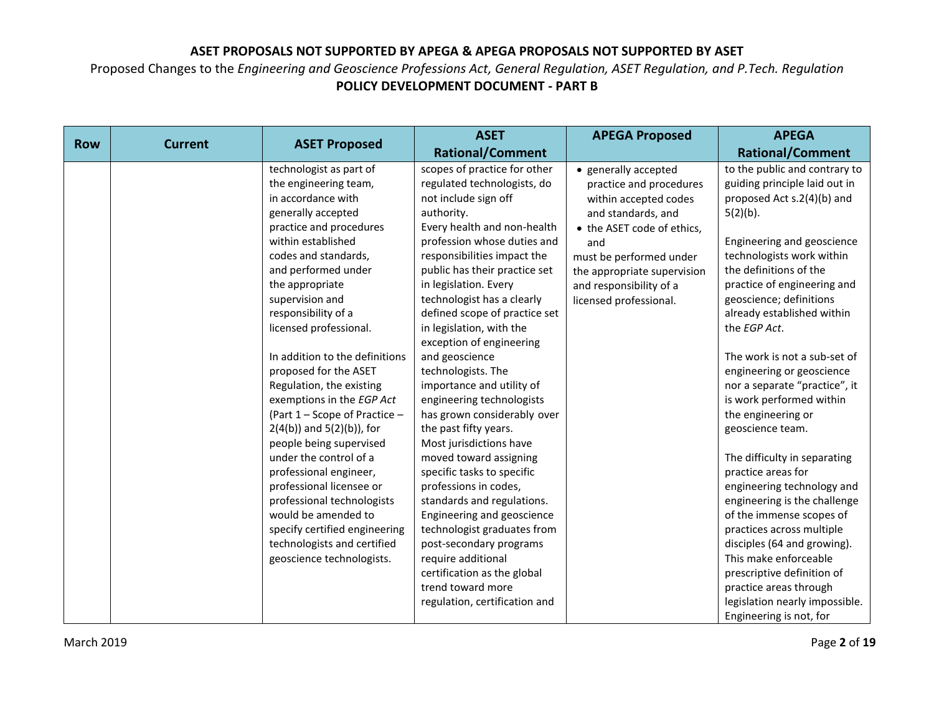|            |                |                                | <b>ASET</b>                          | <b>APEGA Proposed</b>       | <b>APEGA</b>                                               |
|------------|----------------|--------------------------------|--------------------------------------|-----------------------------|------------------------------------------------------------|
| <b>Row</b> | <b>Current</b> | <b>ASET Proposed</b>           | <b>Rational/Comment</b>              |                             | <b>Rational/Comment</b>                                    |
|            |                | technologist as part of        | scopes of practice for other         | • generally accepted        | to the public and contrary to                              |
|            |                | the engineering team,          | regulated technologists, do          | practice and procedures     | guiding principle laid out in                              |
|            |                | in accordance with             | not include sign off                 | within accepted codes       | proposed Act s.2(4)(b) and                                 |
|            |                | generally accepted             | authority.                           | and standards, and          | $5(2)(b)$ .                                                |
|            |                | practice and procedures        | Every health and non-health          | • the ASET code of ethics,  |                                                            |
|            |                | within established             | profession whose duties and          | and                         | Engineering and geoscience                                 |
|            |                | codes and standards,           | responsibilities impact the          | must be performed under     | technologists work within                                  |
|            |                | and performed under            | public has their practice set        | the appropriate supervision | the definitions of the                                     |
|            |                | the appropriate                | in legislation. Every                | and responsibility of a     | practice of engineering and                                |
|            |                | supervision and                | technologist has a clearly           | licensed professional.      | geoscience; definitions                                    |
|            |                | responsibility of a            | defined scope of practice set        |                             | already established within                                 |
|            |                | licensed professional.         | in legislation, with the             |                             | the EGP Act.                                               |
|            |                | In addition to the definitions | exception of engineering             |                             |                                                            |
|            |                | proposed for the ASET          | and geoscience<br>technologists. The |                             | The work is not a sub-set of                               |
|            |                | Regulation, the existing       | importance and utility of            |                             | engineering or geoscience<br>nor a separate "practice", it |
|            |                | exemptions in the EGP Act      | engineering technologists            |                             | is work performed within                                   |
|            |                | (Part 1 - Scope of Practice -  | has grown considerably over          |                             | the engineering or                                         |
|            |                | $2(4(b))$ and $5(2)(b)$ ), for | the past fifty years.                |                             | geoscience team.                                           |
|            |                | people being supervised        | Most jurisdictions have              |                             |                                                            |
|            |                | under the control of a         | moved toward assigning               |                             | The difficulty in separating                               |
|            |                | professional engineer,         | specific tasks to specific           |                             | practice areas for                                         |
|            |                | professional licensee or       | professions in codes,                |                             | engineering technology and                                 |
|            |                | professional technologists     | standards and regulations.           |                             | engineering is the challenge                               |
|            |                | would be amended to            | Engineering and geoscience           |                             | of the immense scopes of                                   |
|            |                | specify certified engineering  | technologist graduates from          |                             | practices across multiple                                  |
|            |                | technologists and certified    | post-secondary programs              |                             | disciples (64 and growing).                                |
|            |                | geoscience technologists.      | require additional                   |                             | This make enforceable                                      |
|            |                |                                | certification as the global          |                             | prescriptive definition of                                 |
|            |                |                                | trend toward more                    |                             | practice areas through                                     |
|            |                |                                | regulation, certification and        |                             | legislation nearly impossible.                             |
|            |                |                                |                                      |                             | Engineering is not, for                                    |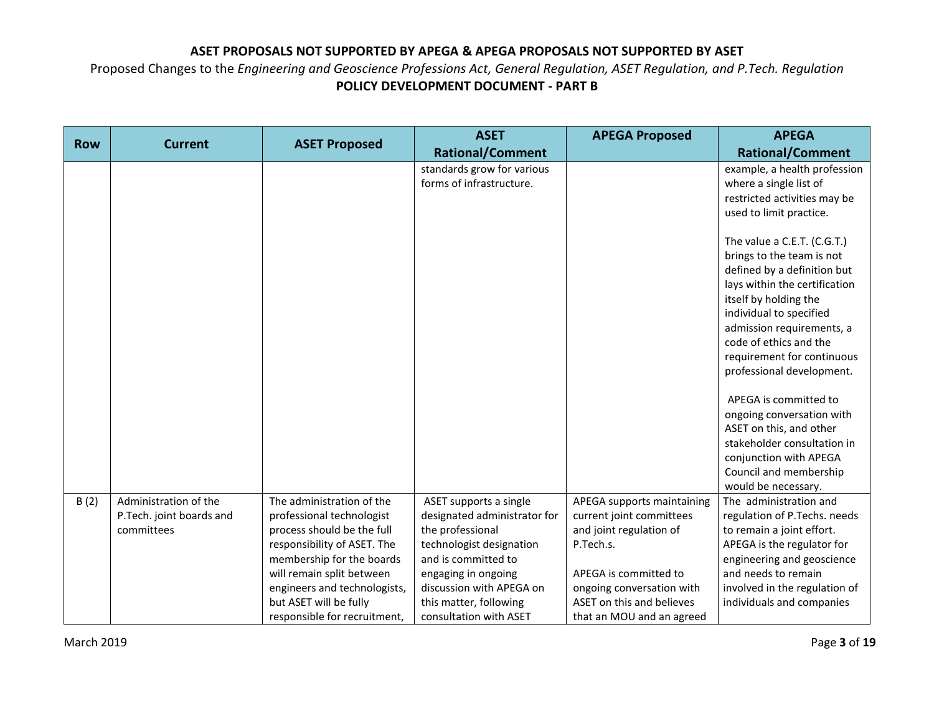| <b>Row</b> | <b>Current</b>                                                  |                                                                                                                                                                                                                                                                         | <b>ASET</b>                                                                                                                                                                                                                          | <b>APEGA Proposed</b>                                                                                                                                                                                          | <b>APEGA</b>                                                                                                                                                                                                                                                                                   |
|------------|-----------------------------------------------------------------|-------------------------------------------------------------------------------------------------------------------------------------------------------------------------------------------------------------------------------------------------------------------------|--------------------------------------------------------------------------------------------------------------------------------------------------------------------------------------------------------------------------------------|----------------------------------------------------------------------------------------------------------------------------------------------------------------------------------------------------------------|------------------------------------------------------------------------------------------------------------------------------------------------------------------------------------------------------------------------------------------------------------------------------------------------|
|            |                                                                 | <b>ASET Proposed</b>                                                                                                                                                                                                                                                    | <b>Rational/Comment</b>                                                                                                                                                                                                              |                                                                                                                                                                                                                | <b>Rational/Comment</b>                                                                                                                                                                                                                                                                        |
|            |                                                                 |                                                                                                                                                                                                                                                                         | standards grow for various<br>forms of infrastructure.                                                                                                                                                                               |                                                                                                                                                                                                                | example, a health profession<br>where a single list of<br>restricted activities may be<br>used to limit practice.                                                                                                                                                                              |
|            |                                                                 |                                                                                                                                                                                                                                                                         |                                                                                                                                                                                                                                      |                                                                                                                                                                                                                | The value a C.E.T. (C.G.T.)<br>brings to the team is not<br>defined by a definition but<br>lays within the certification<br>itself by holding the<br>individual to specified<br>admission requirements, a<br>code of ethics and the<br>requirement for continuous<br>professional development. |
|            |                                                                 |                                                                                                                                                                                                                                                                         |                                                                                                                                                                                                                                      |                                                                                                                                                                                                                | APEGA is committed to<br>ongoing conversation with<br>ASET on this, and other<br>stakeholder consultation in<br>conjunction with APEGA<br>Council and membership<br>would be necessary.                                                                                                        |
| B(2)       | Administration of the<br>P.Tech. joint boards and<br>committees | The administration of the<br>professional technologist<br>process should be the full<br>responsibility of ASET. The<br>membership for the boards<br>will remain split between<br>engineers and technologists,<br>but ASET will be fully<br>responsible for recruitment, | ASET supports a single<br>designated administrator for<br>the professional<br>technologist designation<br>and is committed to<br>engaging in ongoing<br>discussion with APEGA on<br>this matter, following<br>consultation with ASET | APEGA supports maintaining<br>current joint committees<br>and joint regulation of<br>P.Tech.s.<br>APEGA is committed to<br>ongoing conversation with<br>ASET on this and believes<br>that an MOU and an agreed | The administration and<br>regulation of P.Techs. needs<br>to remain a joint effort.<br>APEGA is the regulator for<br>engineering and geoscience<br>and needs to remain<br>involved in the regulation of<br>individuals and companies                                                           |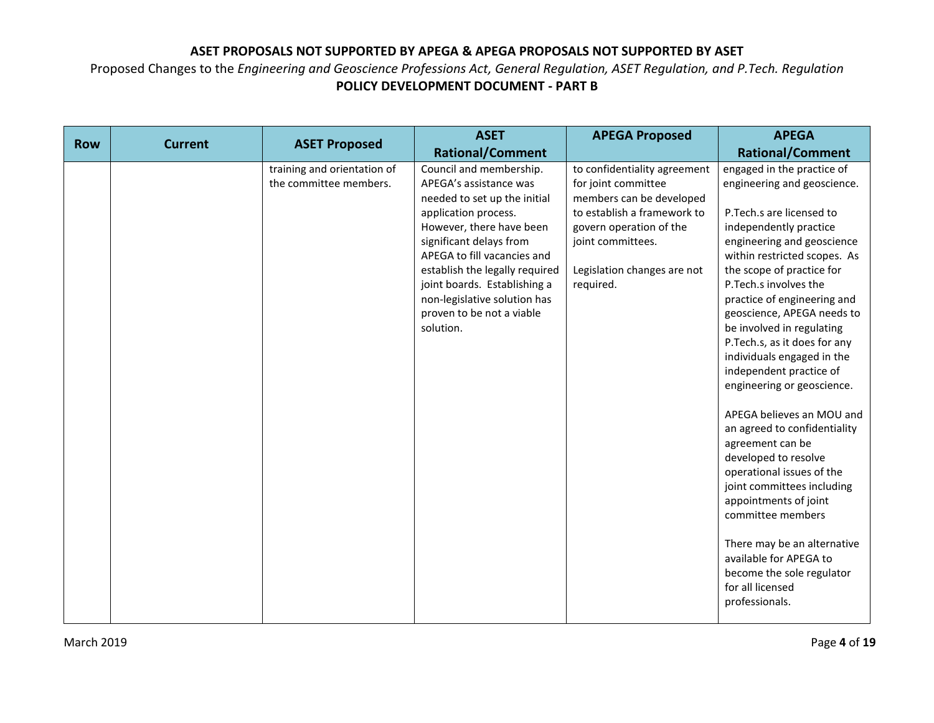|            |                |                                                       | <b>ASET</b>                                                                                                                                                                                                                                                                                                                                 | <b>APEGA Proposed</b>                                                                                                                                                                                      | <b>APEGA</b>                                                                                                                                                                                                                                                                                                                                                                                                                                                                                                                                                                                                                                                                                                                                                                       |
|------------|----------------|-------------------------------------------------------|---------------------------------------------------------------------------------------------------------------------------------------------------------------------------------------------------------------------------------------------------------------------------------------------------------------------------------------------|------------------------------------------------------------------------------------------------------------------------------------------------------------------------------------------------------------|------------------------------------------------------------------------------------------------------------------------------------------------------------------------------------------------------------------------------------------------------------------------------------------------------------------------------------------------------------------------------------------------------------------------------------------------------------------------------------------------------------------------------------------------------------------------------------------------------------------------------------------------------------------------------------------------------------------------------------------------------------------------------------|
| <b>Row</b> | <b>Current</b> | <b>ASET Proposed</b>                                  | <b>Rational/Comment</b>                                                                                                                                                                                                                                                                                                                     |                                                                                                                                                                                                            | <b>Rational/Comment</b>                                                                                                                                                                                                                                                                                                                                                                                                                                                                                                                                                                                                                                                                                                                                                            |
|            |                | training and orientation of<br>the committee members. | Council and membership.<br>APEGA's assistance was<br>needed to set up the initial<br>application process.<br>However, there have been<br>significant delays from<br>APEGA to fill vacancies and<br>establish the legally required<br>joint boards. Establishing a<br>non-legislative solution has<br>proven to be not a viable<br>solution. | to confidentiality agreement<br>for joint committee<br>members can be developed<br>to establish a framework to<br>govern operation of the<br>joint committees.<br>Legislation changes are not<br>required. | engaged in the practice of<br>engineering and geoscience.<br>P. Tech.s are licensed to<br>independently practice<br>engineering and geoscience<br>within restricted scopes. As<br>the scope of practice for<br>P. Tech.s involves the<br>practice of engineering and<br>geoscience, APEGA needs to<br>be involved in regulating<br>P.Tech.s, as it does for any<br>individuals engaged in the<br>independent practice of<br>engineering or geoscience.<br>APEGA believes an MOU and<br>an agreed to confidentiality<br>agreement can be<br>developed to resolve<br>operational issues of the<br>joint committees including<br>appointments of joint<br>committee members<br>There may be an alternative<br>available for APEGA to<br>become the sole regulator<br>for all licensed |
|            |                |                                                       |                                                                                                                                                                                                                                                                                                                                             |                                                                                                                                                                                                            | professionals.                                                                                                                                                                                                                                                                                                                                                                                                                                                                                                                                                                                                                                                                                                                                                                     |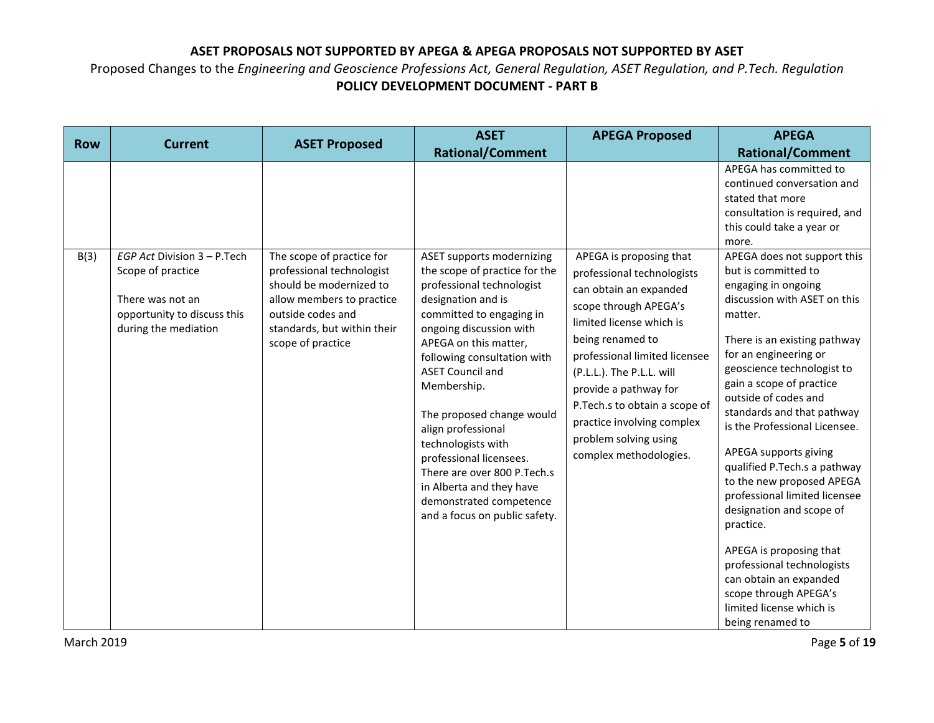| <b>Row</b> |                                                                                                                             |                                                                                                                                                                                         | <b>ASET</b>                                                                                                                                                                                                                                                                                                                                                                                                                                                                                               | <b>APEGA Proposed</b>                                                                                                                                                                                                                                                                                                                                              | <b>APEGA</b>                                                                                                                                                                                                                                                                                                                                                                                                                                                                                                                                                                                                                                               |
|------------|-----------------------------------------------------------------------------------------------------------------------------|-----------------------------------------------------------------------------------------------------------------------------------------------------------------------------------------|-----------------------------------------------------------------------------------------------------------------------------------------------------------------------------------------------------------------------------------------------------------------------------------------------------------------------------------------------------------------------------------------------------------------------------------------------------------------------------------------------------------|--------------------------------------------------------------------------------------------------------------------------------------------------------------------------------------------------------------------------------------------------------------------------------------------------------------------------------------------------------------------|------------------------------------------------------------------------------------------------------------------------------------------------------------------------------------------------------------------------------------------------------------------------------------------------------------------------------------------------------------------------------------------------------------------------------------------------------------------------------------------------------------------------------------------------------------------------------------------------------------------------------------------------------------|
|            | <b>Current</b>                                                                                                              | <b>ASET Proposed</b>                                                                                                                                                                    | <b>Rational/Comment</b>                                                                                                                                                                                                                                                                                                                                                                                                                                                                                   |                                                                                                                                                                                                                                                                                                                                                                    | <b>Rational/Comment</b>                                                                                                                                                                                                                                                                                                                                                                                                                                                                                                                                                                                                                                    |
|            |                                                                                                                             |                                                                                                                                                                                         |                                                                                                                                                                                                                                                                                                                                                                                                                                                                                                           |                                                                                                                                                                                                                                                                                                                                                                    | APEGA has committed to<br>continued conversation and<br>stated that more<br>consultation is required, and<br>this could take a year or<br>more.                                                                                                                                                                                                                                                                                                                                                                                                                                                                                                            |
| B(3)       | EGP Act Division 3 - P.Tech<br>Scope of practice<br>There was not an<br>opportunity to discuss this<br>during the mediation | The scope of practice for<br>professional technologist<br>should be modernized to<br>allow members to practice<br>outside codes and<br>standards, but within their<br>scope of practice | <b>ASET supports modernizing</b><br>the scope of practice for the<br>professional technologist<br>designation and is<br>committed to engaging in<br>ongoing discussion with<br>APEGA on this matter,<br>following consultation with<br><b>ASET Council and</b><br>Membership.<br>The proposed change would<br>align professional<br>technologists with<br>professional licensees.<br>There are over 800 P. Tech.s<br>in Alberta and they have<br>demonstrated competence<br>and a focus on public safety. | APEGA is proposing that<br>professional technologists<br>can obtain an expanded<br>scope through APEGA's<br>limited license which is<br>being renamed to<br>professional limited licensee<br>(P.L.L.). The P.L.L. will<br>provide a pathway for<br>P. Tech.s to obtain a scope of<br>practice involving complex<br>problem solving using<br>complex methodologies. | APEGA does not support this<br>but is committed to<br>engaging in ongoing<br>discussion with ASET on this<br>matter.<br>There is an existing pathway<br>for an engineering or<br>geoscience technologist to<br>gain a scope of practice<br>outside of codes and<br>standards and that pathway<br>is the Professional Licensee.<br>APEGA supports giving<br>qualified P.Tech.s a pathway<br>to the new proposed APEGA<br>professional limited licensee<br>designation and scope of<br>practice.<br>APEGA is proposing that<br>professional technologists<br>can obtain an expanded<br>scope through APEGA's<br>limited license which is<br>being renamed to |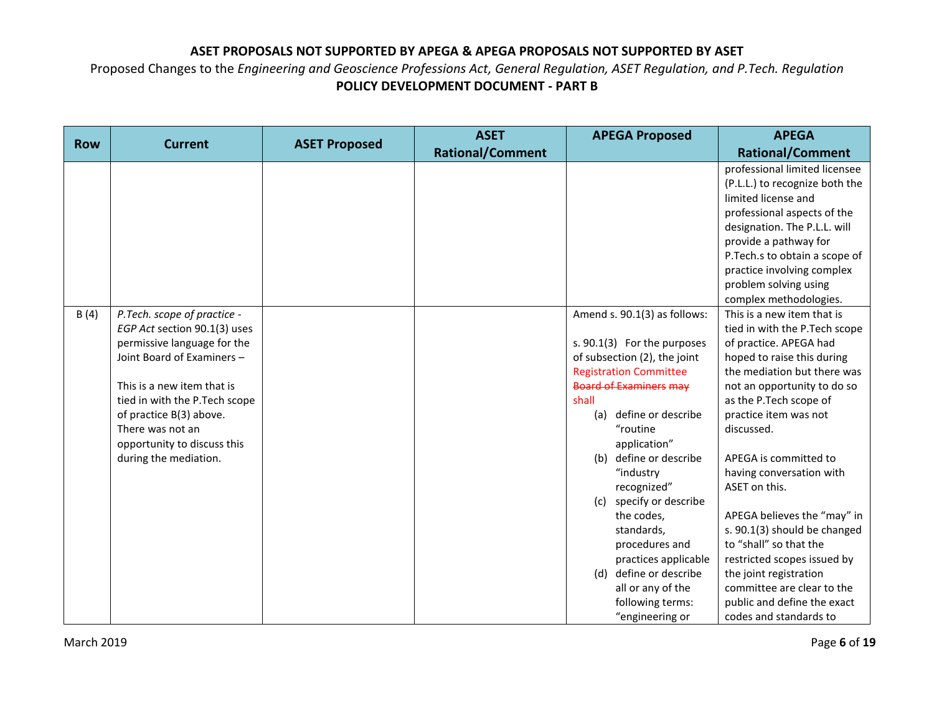| <b>Row</b> | <b>Current</b>                | <b>ASET Proposed</b> | <b>ASET</b>             | <b>APEGA Proposed</b>         | <b>APEGA</b>                   |
|------------|-------------------------------|----------------------|-------------------------|-------------------------------|--------------------------------|
|            |                               |                      | <b>Rational/Comment</b> |                               | <b>Rational/Comment</b>        |
|            |                               |                      |                         |                               | professional limited licensee  |
|            |                               |                      |                         |                               | (P.L.L.) to recognize both the |
|            |                               |                      |                         |                               | limited license and            |
|            |                               |                      |                         |                               | professional aspects of the    |
|            |                               |                      |                         |                               | designation. The P.L.L. will   |
|            |                               |                      |                         |                               | provide a pathway for          |
|            |                               |                      |                         |                               | P.Tech.s to obtain a scope of  |
|            |                               |                      |                         |                               | practice involving complex     |
|            |                               |                      |                         |                               | problem solving using          |
|            |                               |                      |                         |                               | complex methodologies.         |
| B(4)       | P.Tech. scope of practice -   |                      |                         | Amend s. 90.1(3) as follows:  | This is a new item that is     |
|            | EGP Act section 90.1(3) uses  |                      |                         |                               | tied in with the P.Tech scope  |
|            | permissive language for the   |                      |                         | s. 90.1(3) For the purposes   | of practice. APEGA had         |
|            | Joint Board of Examiners -    |                      |                         | of subsection (2), the joint  | hoped to raise this during     |
|            |                               |                      |                         | <b>Registration Committee</b> | the mediation but there was    |
|            | This is a new item that is    |                      |                         | <b>Board of Examiners may</b> | not an opportunity to do so    |
|            | tied in with the P.Tech scope |                      |                         | shall                         | as the P.Tech scope of         |
|            | of practice B(3) above.       |                      |                         | define or describe<br>(a)     | practice item was not          |
|            | There was not an              |                      |                         | "routine                      | discussed.                     |
|            | opportunity to discuss this   |                      |                         | application"                  |                                |
|            | during the mediation.         |                      |                         | define or describe<br>(b)     | APEGA is committed to          |
|            |                               |                      |                         | "industry                     | having conversation with       |
|            |                               |                      |                         | recognized"                   | ASET on this.                  |
|            |                               |                      |                         | (c) specify or describe       |                                |
|            |                               |                      |                         | the codes,                    | APEGA believes the "may" in    |
|            |                               |                      |                         | standards,                    | s. 90.1(3) should be changed   |
|            |                               |                      |                         | procedures and                | to "shall" so that the         |
|            |                               |                      |                         | practices applicable          | restricted scopes issued by    |
|            |                               |                      |                         | (d) define or describe        | the joint registration         |
|            |                               |                      |                         | all or any of the             | committee are clear to the     |
|            |                               |                      |                         | following terms:              | public and define the exact    |
|            |                               |                      |                         | "engineering or               | codes and standards to         |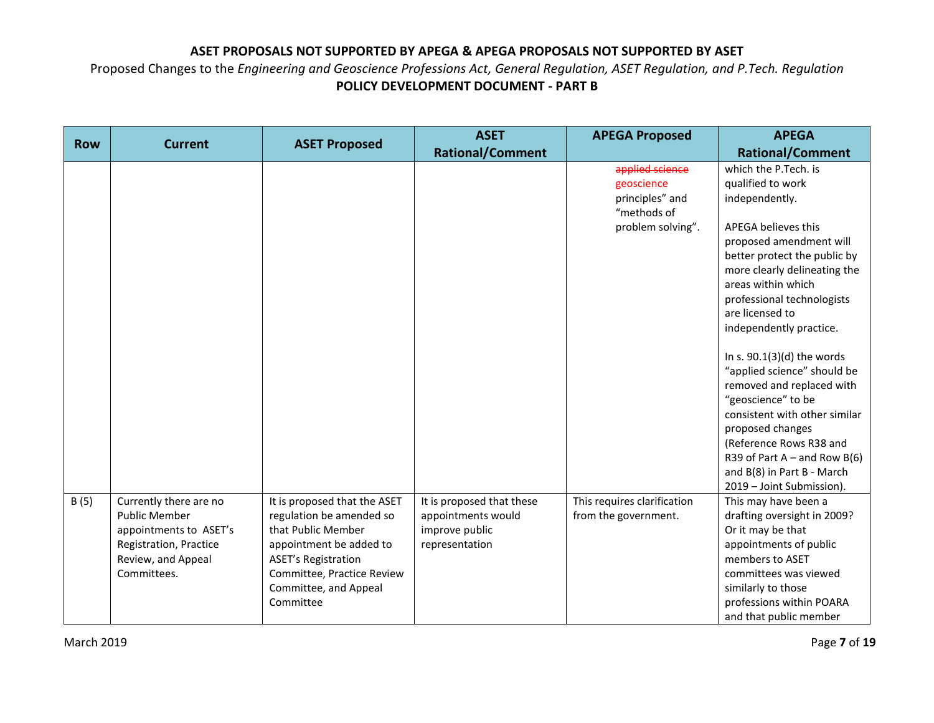| <b>Row</b> | <b>Current</b>                                                                                                                          |                                                                                                                                                                                                             | <b>ASET</b>                                                                         | <b>APEGA Proposed</b>                                                                | <b>APEGA</b>                                                                                                                                                                                                                                                                                                                                                                                                                                                                                                                                                                 |
|------------|-----------------------------------------------------------------------------------------------------------------------------------------|-------------------------------------------------------------------------------------------------------------------------------------------------------------------------------------------------------------|-------------------------------------------------------------------------------------|--------------------------------------------------------------------------------------|------------------------------------------------------------------------------------------------------------------------------------------------------------------------------------------------------------------------------------------------------------------------------------------------------------------------------------------------------------------------------------------------------------------------------------------------------------------------------------------------------------------------------------------------------------------------------|
|            |                                                                                                                                         | <b>ASET Proposed</b>                                                                                                                                                                                        | <b>Rational/Comment</b>                                                             |                                                                                      | <b>Rational/Comment</b>                                                                                                                                                                                                                                                                                                                                                                                                                                                                                                                                                      |
|            |                                                                                                                                         |                                                                                                                                                                                                             |                                                                                     | applied science<br>geoscience<br>principles" and<br>"methods of<br>problem solving". | which the P.Tech. is<br>qualified to work<br>independently.<br>APEGA believes this<br>proposed amendment will<br>better protect the public by<br>more clearly delineating the<br>areas within which<br>professional technologists<br>are licensed to<br>independently practice.<br>In s. $90.1(3)(d)$ the words<br>"applied science" should be<br>removed and replaced with<br>"geoscience" to be<br>consistent with other similar<br>proposed changes<br>(Reference Rows R38 and<br>R39 of Part A – and Row B(6)<br>and B(8) in Part B - March<br>2019 - Joint Submission). |
| B(5)       | Currently there are no<br><b>Public Member</b><br>appointments to ASET's<br>Registration, Practice<br>Review, and Appeal<br>Committees. | It is proposed that the ASET<br>regulation be amended so<br>that Public Member<br>appointment be added to<br><b>ASET's Registration</b><br>Committee, Practice Review<br>Committee, and Appeal<br>Committee | It is proposed that these<br>appointments would<br>improve public<br>representation | This requires clarification<br>from the government.                                  | This may have been a<br>drafting oversight in 2009?<br>Or it may be that<br>appointments of public<br>members to ASET<br>committees was viewed<br>similarly to those<br>professions within POARA<br>and that public member                                                                                                                                                                                                                                                                                                                                                   |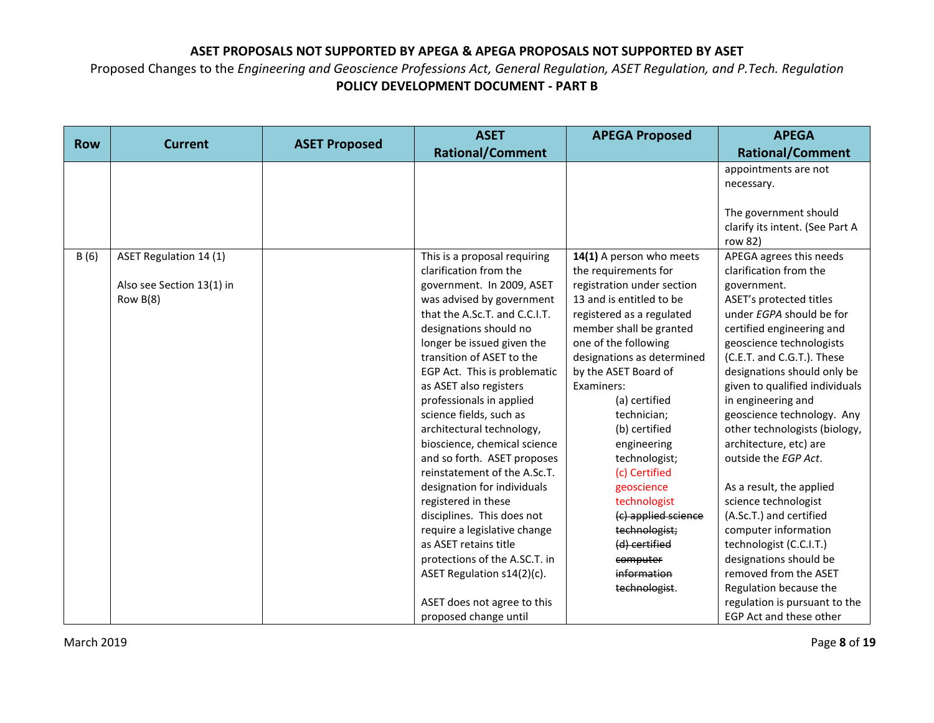|            |                           |                      | <b>ASET</b>                                            | <b>APEGA Proposed</b>                                  | <b>APEGA</b>                           |
|------------|---------------------------|----------------------|--------------------------------------------------------|--------------------------------------------------------|----------------------------------------|
| <b>Row</b> | <b>Current</b>            | <b>ASET Proposed</b> | <b>Rational/Comment</b>                                |                                                        | <b>Rational/Comment</b>                |
|            |                           |                      |                                                        |                                                        | appointments are not                   |
|            |                           |                      |                                                        |                                                        | necessary.                             |
|            |                           |                      |                                                        |                                                        |                                        |
|            |                           |                      |                                                        |                                                        | The government should                  |
|            |                           |                      |                                                        |                                                        | clarify its intent. (See Part A        |
|            |                           |                      |                                                        |                                                        | row 82)                                |
| B(6)       | ASET Regulation 14 (1)    |                      | This is a proposal requiring                           | 14(1) A person who meets                               | APEGA agrees this needs                |
|            |                           |                      | clarification from the                                 | the requirements for                                   | clarification from the                 |
|            | Also see Section 13(1) in |                      | government. In 2009, ASET<br>was advised by government | registration under section<br>13 and is entitled to be | government.<br>ASET's protected titles |
|            | Row $B(8)$                |                      | that the A.Sc.T. and C.C.I.T.                          | registered as a regulated                              | under EGPA should be for               |
|            |                           |                      | designations should no                                 | member shall be granted                                | certified engineering and              |
|            |                           |                      | longer be issued given the                             | one of the following                                   | geoscience technologists               |
|            |                           |                      | transition of ASET to the                              | designations as determined                             | (C.E.T. and C.G.T.). These             |
|            |                           |                      | EGP Act. This is problematic                           | by the ASET Board of                                   | designations should only be            |
|            |                           |                      | as ASET also registers                                 | Examiners:                                             | given to qualified individuals         |
|            |                           |                      | professionals in applied                               | (a) certified                                          | in engineering and                     |
|            |                           |                      | science fields, such as                                | technician;                                            | geoscience technology. Any             |
|            |                           |                      | architectural technology,                              | (b) certified                                          | other technologists (biology,          |
|            |                           |                      | bioscience, chemical science                           | engineering                                            | architecture, etc) are                 |
|            |                           |                      | and so forth. ASET proposes                            | technologist;                                          | outside the EGP Act.                   |
|            |                           |                      | reinstatement of the A.Sc.T.                           | (c) Certified                                          |                                        |
|            |                           |                      | designation for individuals                            | geoscience                                             | As a result, the applied               |
|            |                           |                      | registered in these                                    | technologist                                           | science technologist                   |
|            |                           |                      | disciplines. This does not                             | (c) applied science                                    | (A.Sc.T.) and certified                |
|            |                           |                      | require a legislative change                           | technologist;                                          | computer information                   |
|            |                           |                      | as ASET retains title                                  | (d) certified                                          | technologist (C.C.I.T.)                |
|            |                           |                      | protections of the A.SC.T. in                          | computer                                               | designations should be                 |
|            |                           |                      | ASET Regulation s14(2)(c).                             | information                                            | removed from the ASET                  |
|            |                           |                      |                                                        | technologist.                                          | Regulation because the                 |
|            |                           |                      | ASET does not agree to this                            |                                                        | regulation is pursuant to the          |
|            |                           |                      | proposed change until                                  |                                                        | EGP Act and these other                |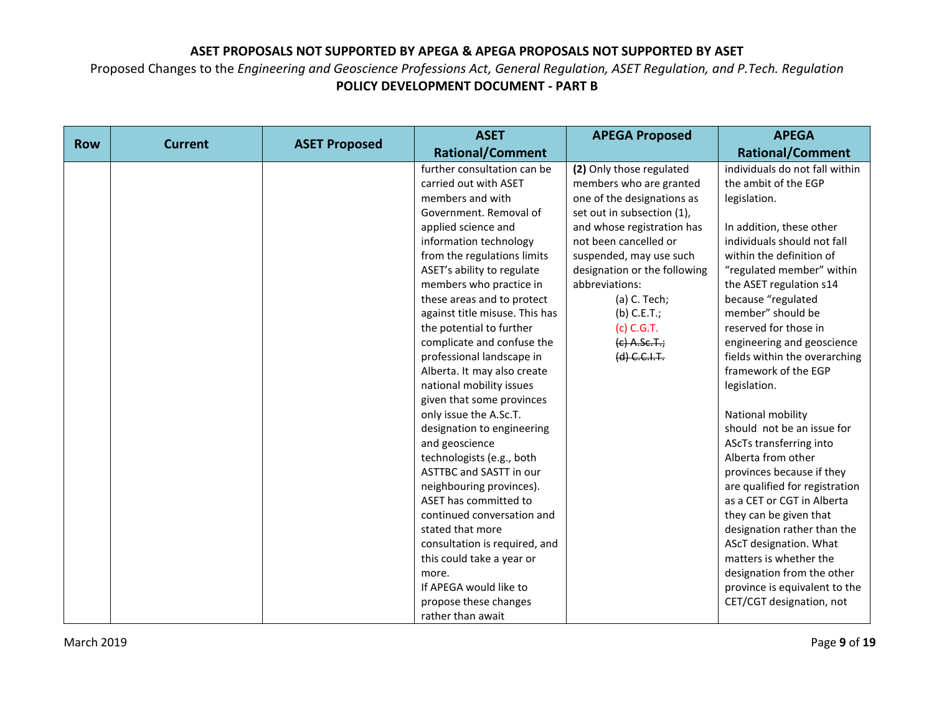|            |                |                      | <b>ASET</b>                    | <b>APEGA Proposed</b>        | <b>APEGA</b>                   |
|------------|----------------|----------------------|--------------------------------|------------------------------|--------------------------------|
| <b>Row</b> | <b>Current</b> | <b>ASET Proposed</b> | <b>Rational/Comment</b>        |                              | <b>Rational/Comment</b>        |
|            |                |                      | further consultation can be    | (2) Only those regulated     | individuals do not fall within |
|            |                |                      | carried out with ASET          | members who are granted      | the ambit of the EGP           |
|            |                |                      | members and with               | one of the designations as   | legislation.                   |
|            |                |                      | Government. Removal of         | set out in subsection (1),   |                                |
|            |                |                      | applied science and            | and whose registration has   | In addition, these other       |
|            |                |                      | information technology         | not been cancelled or        | individuals should not fall    |
|            |                |                      | from the regulations limits    | suspended, may use such      | within the definition of       |
|            |                |                      | ASET's ability to regulate     | designation or the following | "regulated member" within      |
|            |                |                      | members who practice in        | abbreviations:               | the ASET regulation s14        |
|            |                |                      | these areas and to protect     | (a) C. Tech;                 | because "regulated             |
|            |                |                      | against title misuse. This has | $(b)$ C.E.T.;                | member" should be              |
|            |                |                      | the potential to further       | (c) C.G.T.                   | reserved for those in          |
|            |                |                      | complicate and confuse the     | $(e)$ A.Sc.T.;               | engineering and geoscience     |
|            |                |                      | professional landscape in      | (d) C.C.I.F.                 | fields within the overarching  |
|            |                |                      | Alberta. It may also create    |                              | framework of the EGP           |
|            |                |                      | national mobility issues       |                              | legislation.                   |
|            |                |                      | given that some provinces      |                              |                                |
|            |                |                      | only issue the A.Sc.T.         |                              | National mobility              |
|            |                |                      | designation to engineering     |                              | should not be an issue for     |
|            |                |                      | and geoscience                 |                              | AScTs transferring into        |
|            |                |                      | technologists (e.g., both      |                              | Alberta from other             |
|            |                |                      | <b>ASTTBC and SASTT in our</b> |                              | provinces because if they      |
|            |                |                      | neighbouring provinces).       |                              | are qualified for registration |
|            |                |                      | ASET has committed to          |                              | as a CET or CGT in Alberta     |
|            |                |                      | continued conversation and     |                              | they can be given that         |
|            |                |                      | stated that more               |                              | designation rather than the    |
|            |                |                      | consultation is required, and  |                              | AScT designation. What         |
|            |                |                      | this could take a year or      |                              | matters is whether the         |
|            |                |                      | more.                          |                              | designation from the other     |
|            |                |                      | If APEGA would like to         |                              | province is equivalent to the  |
|            |                |                      | propose these changes          |                              | CET/CGT designation, not       |
|            |                |                      | rather than await              |                              |                                |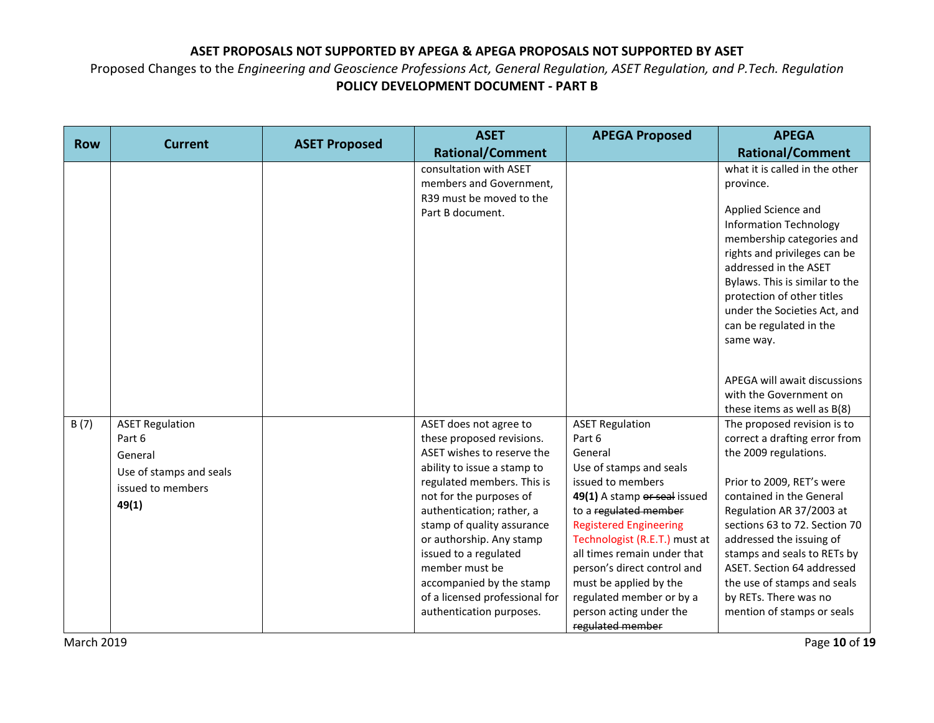| <b>Row</b> | <b>Current</b>                                                                              | <b>ASET Proposed</b> | <b>ASET</b>                                                                                                                                                                                                                                         | <b>APEGA Proposed</b>                                                                                                                                                                                                                                                                      | <b>APEGA</b>                                                                                                                                                                                                                                                                                                                      |
|------------|---------------------------------------------------------------------------------------------|----------------------|-----------------------------------------------------------------------------------------------------------------------------------------------------------------------------------------------------------------------------------------------------|--------------------------------------------------------------------------------------------------------------------------------------------------------------------------------------------------------------------------------------------------------------------------------------------|-----------------------------------------------------------------------------------------------------------------------------------------------------------------------------------------------------------------------------------------------------------------------------------------------------------------------------------|
|            |                                                                                             |                      | <b>Rational/Comment</b>                                                                                                                                                                                                                             |                                                                                                                                                                                                                                                                                            | <b>Rational/Comment</b>                                                                                                                                                                                                                                                                                                           |
|            |                                                                                             |                      | consultation with ASET<br>members and Government,<br>R39 must be moved to the<br>Part B document.                                                                                                                                                   |                                                                                                                                                                                                                                                                                            | what it is called in the other<br>province.<br>Applied Science and<br><b>Information Technology</b><br>membership categories and<br>rights and privileges can be<br>addressed in the ASET<br>Bylaws. This is similar to the<br>protection of other titles<br>under the Societies Act, and<br>can be regulated in the<br>same way. |
| B(7)       | <b>ASET Regulation</b><br>Part 6<br>General<br>Use of stamps and seals<br>issued to members |                      | ASET does not agree to<br>these proposed revisions.<br>ASET wishes to reserve the<br>ability to issue a stamp to<br>regulated members. This is                                                                                                      | <b>ASET Regulation</b><br>Part 6<br>General<br>Use of stamps and seals<br>issued to members                                                                                                                                                                                                | APEGA will await discussions<br>with the Government on<br>these items as well as B(8)<br>The proposed revision is to<br>correct a drafting error from<br>the 2009 regulations.<br>Prior to 2009, RET's were                                                                                                                       |
|            | 49(1)                                                                                       |                      | not for the purposes of<br>authentication; rather, a<br>stamp of quality assurance<br>or authorship. Any stamp<br>issued to a regulated<br>member must be<br>accompanied by the stamp<br>of a licensed professional for<br>authentication purposes. | 49(1) A stamp or seal issued<br>to a regulated member<br><b>Registered Engineering</b><br>Technologist (R.E.T.) must at<br>all times remain under that<br>person's direct control and<br>must be applied by the<br>regulated member or by a<br>person acting under the<br>regulated member | contained in the General<br>Regulation AR 37/2003 at<br>sections 63 to 72. Section 70<br>addressed the issuing of<br>stamps and seals to RETs by<br>ASET. Section 64 addressed<br>the use of stamps and seals<br>by RETs. There was no<br>mention of stamps or seals                                                              |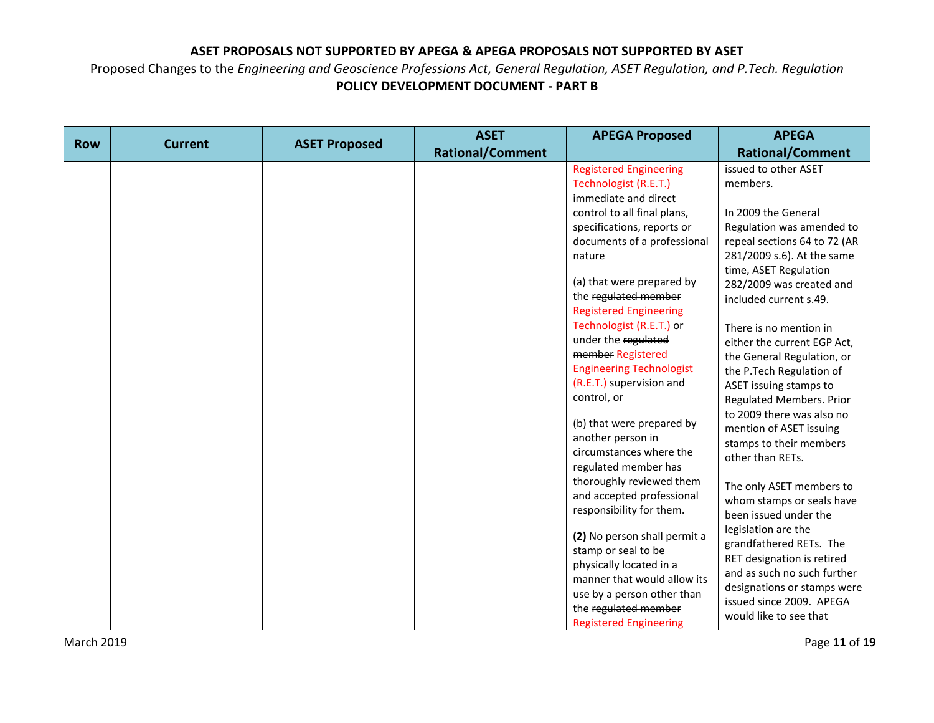|            |                |                      | <b>ASET</b>             | <b>APEGA Proposed</b>                                                                                                                                                                                                                                                                                                                                                                                                                                                                                                                 | <b>APEGA</b>                                                                                                                                                                                                                                                                                                                                                                                                                                                                                                             |
|------------|----------------|----------------------|-------------------------|---------------------------------------------------------------------------------------------------------------------------------------------------------------------------------------------------------------------------------------------------------------------------------------------------------------------------------------------------------------------------------------------------------------------------------------------------------------------------------------------------------------------------------------|--------------------------------------------------------------------------------------------------------------------------------------------------------------------------------------------------------------------------------------------------------------------------------------------------------------------------------------------------------------------------------------------------------------------------------------------------------------------------------------------------------------------------|
|            |                |                      | <b>Rational/Comment</b> |                                                                                                                                                                                                                                                                                                                                                                                                                                                                                                                                       | <b>Rational/Comment</b>                                                                                                                                                                                                                                                                                                                                                                                                                                                                                                  |
| <b>Row</b> | <b>Current</b> | <b>ASET Proposed</b> |                         | <b>Registered Engineering</b><br>Technologist (R.E.T.)<br>immediate and direct<br>control to all final plans,<br>specifications, reports or<br>documents of a professional<br>nature<br>(a) that were prepared by<br>the regulated member<br><b>Registered Engineering</b><br>Technologist (R.E.T.) or<br>under the regulated<br>member Registered<br><b>Engineering Technologist</b><br>(R.E.T.) supervision and<br>control, or<br>(b) that were prepared by<br>another person in<br>circumstances where the<br>regulated member has | issued to other ASET<br>members.<br>In 2009 the General<br>Regulation was amended to<br>repeal sections 64 to 72 (AR<br>281/2009 s.6). At the same<br>time, ASET Regulation<br>282/2009 was created and<br>included current s.49.<br>There is no mention in<br>either the current EGP Act,<br>the General Regulation, or<br>the P.Tech Regulation of<br>ASET issuing stamps to<br><b>Regulated Members. Prior</b><br>to 2009 there was also no<br>mention of ASET issuing<br>stamps to their members<br>other than RETs. |
|            |                |                      |                         | thoroughly reviewed them<br>and accepted professional<br>responsibility for them.<br>(2) No person shall permit a<br>stamp or seal to be                                                                                                                                                                                                                                                                                                                                                                                              | The only ASET members to<br>whom stamps or seals have<br>been issued under the<br>legislation are the<br>grandfathered RETs. The                                                                                                                                                                                                                                                                                                                                                                                         |
|            |                |                      |                         | physically located in a<br>manner that would allow its<br>use by a person other than<br>the regulated member<br><b>Registered Engineering</b>                                                                                                                                                                                                                                                                                                                                                                                         | RET designation is retired<br>and as such no such further<br>designations or stamps were<br>issued since 2009. APEGA<br>would like to see that                                                                                                                                                                                                                                                                                                                                                                           |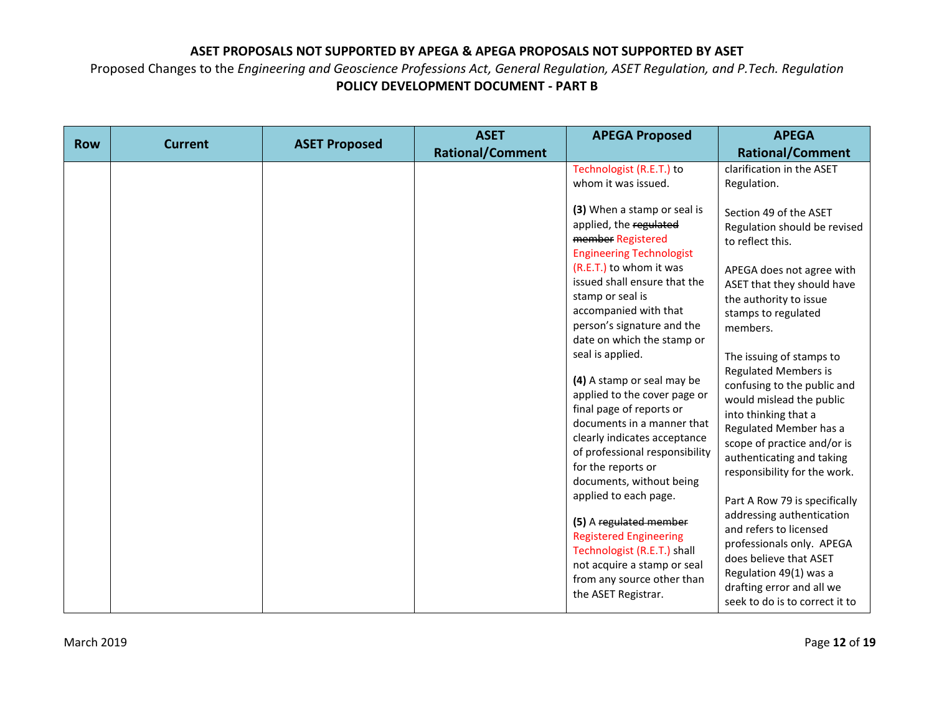| <b>Row</b> | <b>Current</b> | <b>ASET Proposed</b> | <b>ASET</b><br><b>Rational/Comment</b> | <b>APEGA Proposed</b>                                                                                                                                                                                                                                                                                                                                                                                                                                                                                                                                                                                                                                                                                                                                                                                       | <b>APEGA</b><br><b>Rational/Comment</b>                                                                                                                                                                                                                                                                                                                                                                                                                                                                                                                                                                                                                                                                                                                    |
|------------|----------------|----------------------|----------------------------------------|-------------------------------------------------------------------------------------------------------------------------------------------------------------------------------------------------------------------------------------------------------------------------------------------------------------------------------------------------------------------------------------------------------------------------------------------------------------------------------------------------------------------------------------------------------------------------------------------------------------------------------------------------------------------------------------------------------------------------------------------------------------------------------------------------------------|------------------------------------------------------------------------------------------------------------------------------------------------------------------------------------------------------------------------------------------------------------------------------------------------------------------------------------------------------------------------------------------------------------------------------------------------------------------------------------------------------------------------------------------------------------------------------------------------------------------------------------------------------------------------------------------------------------------------------------------------------------|
|            |                |                      |                                        | Technologist (R.E.T.) to<br>whom it was issued.<br>(3) When a stamp or seal is<br>applied, the regulated<br>member Registered<br><b>Engineering Technologist</b><br>(R.E.T.) to whom it was<br>issued shall ensure that the<br>stamp or seal is<br>accompanied with that<br>person's signature and the<br>date on which the stamp or<br>seal is applied.<br>(4) A stamp or seal may be<br>applied to the cover page or<br>final page of reports or<br>documents in a manner that<br>clearly indicates acceptance<br>of professional responsibility<br>for the reports or<br>documents, without being<br>applied to each page.<br>(5) A regulated member<br><b>Registered Engineering</b><br>Technologist (R.E.T.) shall<br>not acquire a stamp or seal<br>from any source other than<br>the ASET Registrar. | clarification in the ASET<br>Regulation.<br>Section 49 of the ASET<br>Regulation should be revised<br>to reflect this.<br>APEGA does not agree with<br>ASET that they should have<br>the authority to issue<br>stamps to regulated<br>members.<br>The issuing of stamps to<br><b>Regulated Members is</b><br>confusing to the public and<br>would mislead the public<br>into thinking that a<br>Regulated Member has a<br>scope of practice and/or is<br>authenticating and taking<br>responsibility for the work.<br>Part A Row 79 is specifically<br>addressing authentication<br>and refers to licensed<br>professionals only. APEGA<br>does believe that ASET<br>Regulation 49(1) was a<br>drafting error and all we<br>seek to do is to correct it to |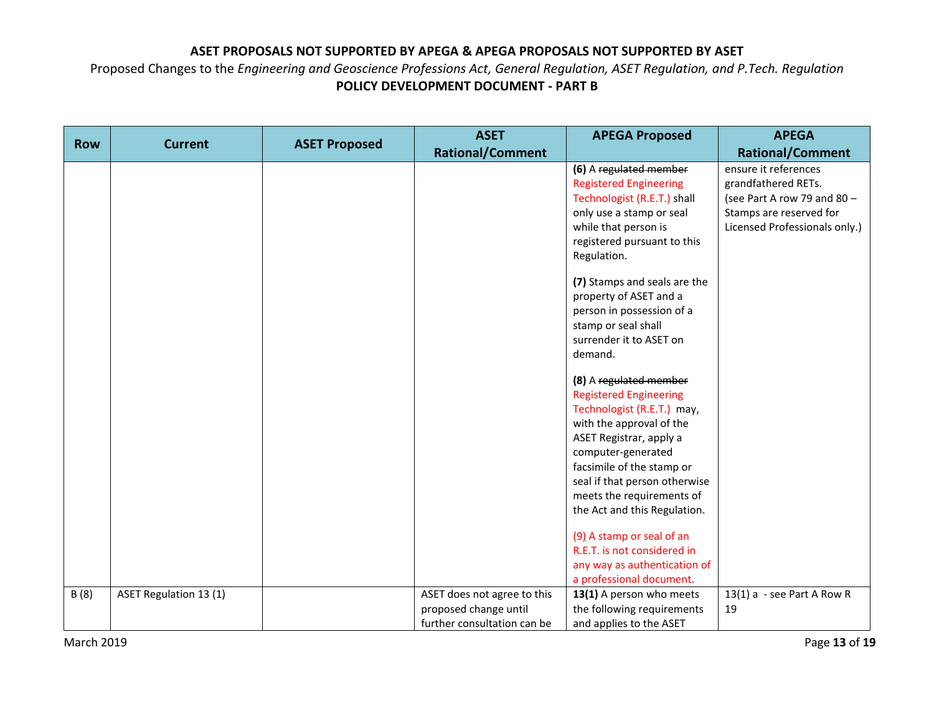|            |                        |                      | <b>ASET</b>                                          | <b>APEGA Proposed</b>                                                                                                                                                                                                                                                                                                                                                                     | <b>APEGA</b>                                                                                                                           |
|------------|------------------------|----------------------|------------------------------------------------------|-------------------------------------------------------------------------------------------------------------------------------------------------------------------------------------------------------------------------------------------------------------------------------------------------------------------------------------------------------------------------------------------|----------------------------------------------------------------------------------------------------------------------------------------|
| <b>Row</b> | <b>Current</b>         | <b>ASET Proposed</b> | <b>Rational/Comment</b>                              |                                                                                                                                                                                                                                                                                                                                                                                           | <b>Rational/Comment</b>                                                                                                                |
|            |                        |                      |                                                      | (6) A regulated member<br><b>Registered Engineering</b><br>Technologist (R.E.T.) shall<br>only use a stamp or seal<br>while that person is<br>registered pursuant to this<br>Regulation.<br>(7) Stamps and seals are the<br>property of ASET and a<br>person in possession of a<br>stamp or seal shall                                                                                    | ensure it references<br>grandfathered RETs.<br>(see Part A row 79 and 80 -<br>Stamps are reserved for<br>Licensed Professionals only.) |
|            |                        |                      |                                                      | surrender it to ASET on<br>demand.                                                                                                                                                                                                                                                                                                                                                        |                                                                                                                                        |
|            |                        |                      |                                                      | (8) A regulated member<br><b>Registered Engineering</b><br>Technologist (R.E.T.) may,<br>with the approval of the<br>ASET Registrar, apply a<br>computer-generated<br>facsimile of the stamp or<br>seal if that person otherwise<br>meets the requirements of<br>the Act and this Regulation.<br>(9) A stamp or seal of an<br>R.E.T. is not considered in<br>any way as authentication of |                                                                                                                                        |
| B(8)       | ASET Regulation 13 (1) |                      | ASET does not agree to this<br>proposed change until | a professional document.<br>13(1) A person who meets<br>the following requirements                                                                                                                                                                                                                                                                                                        | 13(1) $a -$ see Part A Row R<br>19                                                                                                     |
|            |                        |                      | further consultation can be                          | and applies to the ASET                                                                                                                                                                                                                                                                                                                                                                   |                                                                                                                                        |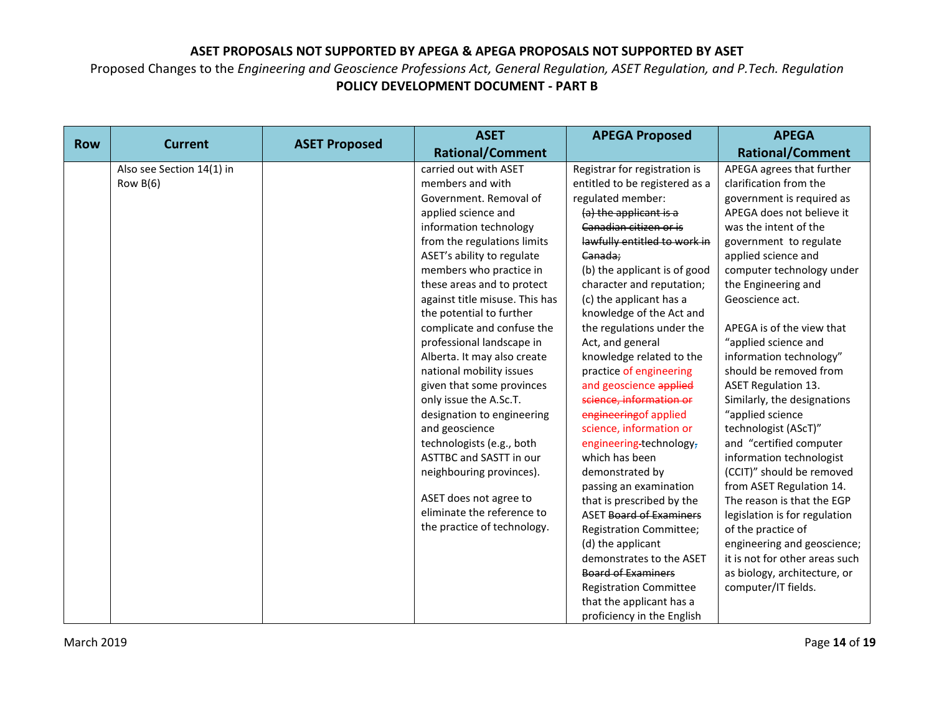|            |                           |                      | <b>ASET</b>                    | <b>APEGA Proposed</b>          | <b>APEGA</b>                   |
|------------|---------------------------|----------------------|--------------------------------|--------------------------------|--------------------------------|
| <b>Row</b> | <b>Current</b>            | <b>ASET Proposed</b> | <b>Rational/Comment</b>        |                                | <b>Rational/Comment</b>        |
|            | Also see Section 14(1) in |                      | carried out with ASET          | Registrar for registration is  | APEGA agrees that further      |
|            | Row $B(6)$                |                      | members and with               | entitled to be registered as a | clarification from the         |
|            |                           |                      | Government. Removal of         | regulated member:              | government is required as      |
|            |                           |                      | applied science and            | (a) the applicant is a         | APEGA does not believe it      |
|            |                           |                      | information technology         | Canadian citizen or is         | was the intent of the          |
|            |                           |                      | from the regulations limits    | lawfully entitled to work in   | government to regulate         |
|            |                           |                      | ASET's ability to regulate     | Canada;                        | applied science and            |
|            |                           |                      | members who practice in        | (b) the applicant is of good   | computer technology under      |
|            |                           |                      | these areas and to protect     | character and reputation;      | the Engineering and            |
|            |                           |                      | against title misuse. This has | (c) the applicant has a        | Geoscience act.                |
|            |                           |                      | the potential to further       | knowledge of the Act and       |                                |
|            |                           |                      | complicate and confuse the     | the regulations under the      | APEGA is of the view that      |
|            |                           |                      | professional landscape in      | Act, and general               | "applied science and           |
|            |                           |                      | Alberta. It may also create    | knowledge related to the       | information technology"        |
|            |                           |                      | national mobility issues       | practice of engineering        | should be removed from         |
|            |                           |                      | given that some provinces      | and geoscience applied         | <b>ASET Regulation 13.</b>     |
|            |                           |                      | only issue the A.Sc.T.         | science, information or        | Similarly, the designations    |
|            |                           |                      | designation to engineering     | engineering of applied         | "applied science               |
|            |                           |                      | and geoscience                 | science, information or        | technologist (AScT)"           |
|            |                           |                      | technologists (e.g., both      | engineering-technology-        | and "certified computer        |
|            |                           |                      | <b>ASTTBC and SASTT in our</b> | which has been                 | information technologist       |
|            |                           |                      | neighbouring provinces).       | demonstrated by                | (CCIT)" should be removed      |
|            |                           |                      |                                | passing an examination         | from ASET Regulation 14.       |
|            |                           |                      | ASET does not agree to         | that is prescribed by the      | The reason is that the EGP     |
|            |                           |                      | eliminate the reference to     | <b>ASET Board of Examiners</b> | legislation is for regulation  |
|            |                           |                      | the practice of technology.    | <b>Registration Committee;</b> | of the practice of             |
|            |                           |                      |                                | (d) the applicant              | engineering and geoscience;    |
|            |                           |                      |                                | demonstrates to the ASET       | it is not for other areas such |
|            |                           |                      |                                | <b>Board of Examiners</b>      | as biology, architecture, or   |
|            |                           |                      |                                | <b>Registration Committee</b>  | computer/IT fields.            |
|            |                           |                      |                                | that the applicant has a       |                                |
|            |                           |                      |                                | proficiency in the English     |                                |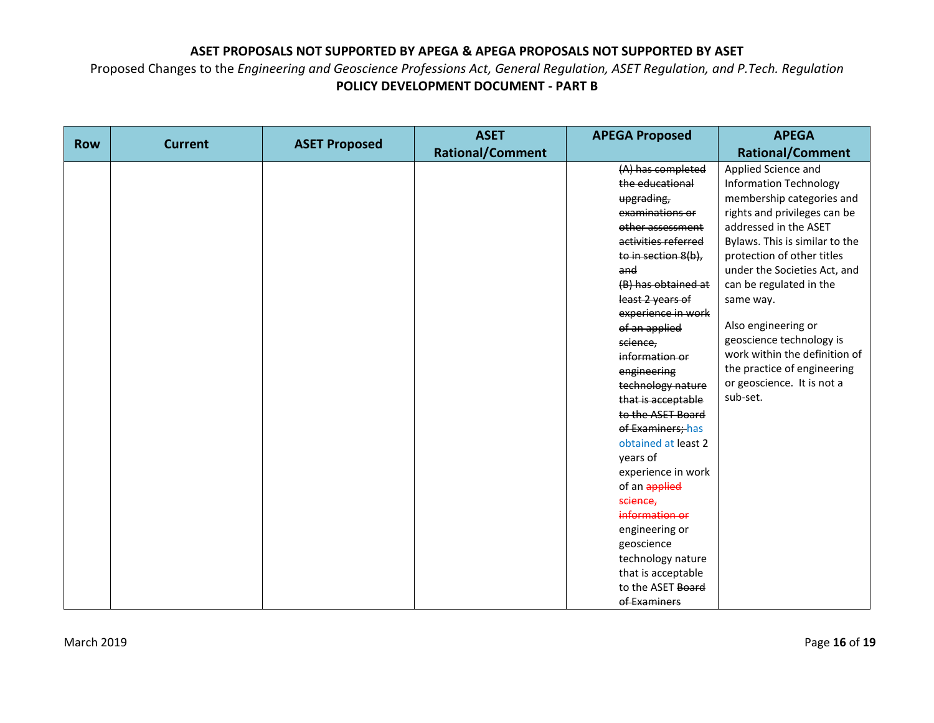|            |                |                      | <b>ASET</b>             | <b>APEGA Proposed</b>                                                                                                                                                                                                                                                                                                                                                                                                                                                                                                                                                      | <b>APEGA</b>                                                                                                                                                                                                                                                                                                                                                                                                                                    |
|------------|----------------|----------------------|-------------------------|----------------------------------------------------------------------------------------------------------------------------------------------------------------------------------------------------------------------------------------------------------------------------------------------------------------------------------------------------------------------------------------------------------------------------------------------------------------------------------------------------------------------------------------------------------------------------|-------------------------------------------------------------------------------------------------------------------------------------------------------------------------------------------------------------------------------------------------------------------------------------------------------------------------------------------------------------------------------------------------------------------------------------------------|
| <b>Row</b> | <b>Current</b> | <b>ASET Proposed</b> | <b>Rational/Comment</b> |                                                                                                                                                                                                                                                                                                                                                                                                                                                                                                                                                                            | <b>Rational/Comment</b>                                                                                                                                                                                                                                                                                                                                                                                                                         |
|            |                |                      |                         | (A) has completed<br>the educational<br>upgrading,<br>examinations or<br>other assessment<br>activities referred<br>to in section 8(b),<br>and<br>(B) has obtained at<br>least 2 years of<br>experience in work<br>of an applied<br>science,<br>information or<br>engineering<br>technology nature<br>that is acceptable<br>to the ASET Board<br>of Examiners; has<br>obtained at least 2<br>years of<br>experience in work<br>of an applied<br>science,<br>information or<br>engineering or<br>geoscience<br>technology nature<br>that is acceptable<br>to the ASET Board | Applied Science and<br><b>Information Technology</b><br>membership categories and<br>rights and privileges can be<br>addressed in the ASET<br>Bylaws. This is similar to the<br>protection of other titles<br>under the Societies Act, and<br>can be regulated in the<br>same way.<br>Also engineering or<br>geoscience technology is<br>work within the definition of<br>the practice of engineering<br>or geoscience. It is not a<br>sub-set. |
|            |                |                      |                         | of Examiners                                                                                                                                                                                                                                                                                                                                                                                                                                                                                                                                                               |                                                                                                                                                                                                                                                                                                                                                                                                                                                 |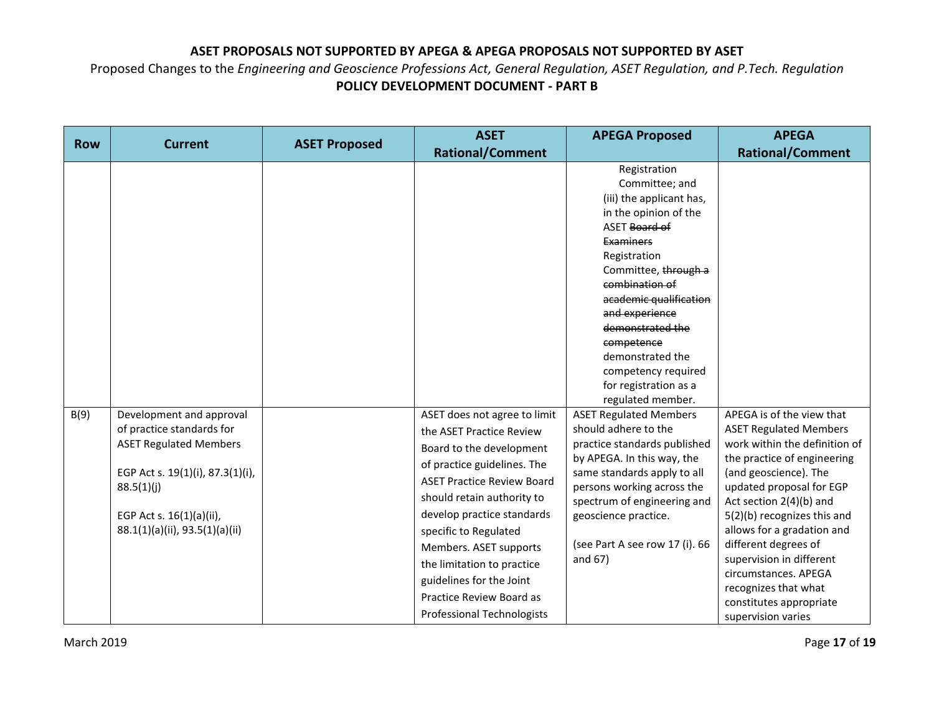|            |                                                                                                                                                                            |                      | <b>ASET</b>                                                                                                                                                                                                                                                                                                                                                        | <b>APEGA Proposed</b>                                                                                                                                                                                                                                                                                                                                                               | <b>APEGA</b>                                                                                                                                                                                                                                                                                                                                                                                    |
|------------|----------------------------------------------------------------------------------------------------------------------------------------------------------------------------|----------------------|--------------------------------------------------------------------------------------------------------------------------------------------------------------------------------------------------------------------------------------------------------------------------------------------------------------------------------------------------------------------|-------------------------------------------------------------------------------------------------------------------------------------------------------------------------------------------------------------------------------------------------------------------------------------------------------------------------------------------------------------------------------------|-------------------------------------------------------------------------------------------------------------------------------------------------------------------------------------------------------------------------------------------------------------------------------------------------------------------------------------------------------------------------------------------------|
| <b>Row</b> | <b>Current</b>                                                                                                                                                             | <b>ASET Proposed</b> | <b>Rational/Comment</b>                                                                                                                                                                                                                                                                                                                                            |                                                                                                                                                                                                                                                                                                                                                                                     | <b>Rational/Comment</b>                                                                                                                                                                                                                                                                                                                                                                         |
| B(9)       | Development and approval                                                                                                                                                   |                      | ASET does not agree to limit                                                                                                                                                                                                                                                                                                                                       | Registration<br>Committee; and<br>(iii) the applicant has,<br>in the opinion of the<br>ASET Board of<br>Examiners<br>Registration<br>Committee, through a<br>combination of<br>academic qualification<br>and experience<br>demonstrated the<br>competence<br>demonstrated the<br>competency required<br>for registration as a<br>regulated member.<br><b>ASET Regulated Members</b> | APEGA is of the view that                                                                                                                                                                                                                                                                                                                                                                       |
|            | of practice standards for<br><b>ASET Regulated Members</b><br>EGP Act s. 19(1)(i), 87.3(1)(i),<br>88.5(1)(j)<br>EGP Act s. 16(1)(a)(ii),<br>88.1(1)(a)(ii), 93.5(1)(a)(ii) |                      | the ASET Practice Review<br>Board to the development<br>of practice guidelines. The<br><b>ASET Practice Review Board</b><br>should retain authority to<br>develop practice standards<br>specific to Regulated<br>Members. ASET supports<br>the limitation to practice<br>guidelines for the Joint<br>Practice Review Board as<br><b>Professional Technologists</b> | should adhere to the<br>practice standards published<br>by APEGA. In this way, the<br>same standards apply to all<br>persons working across the<br>spectrum of engineering and<br>geoscience practice.<br>(see Part A see row 17 (i). 66<br>and $67)$                                                                                                                               | <b>ASET Regulated Members</b><br>work within the definition of<br>the practice of engineering<br>(and geoscience). The<br>updated proposal for EGP<br>Act section 2(4)(b) and<br>5(2)(b) recognizes this and<br>allows for a gradation and<br>different degrees of<br>supervision in different<br>circumstances. APEGA<br>recognizes that what<br>constitutes appropriate<br>supervision varies |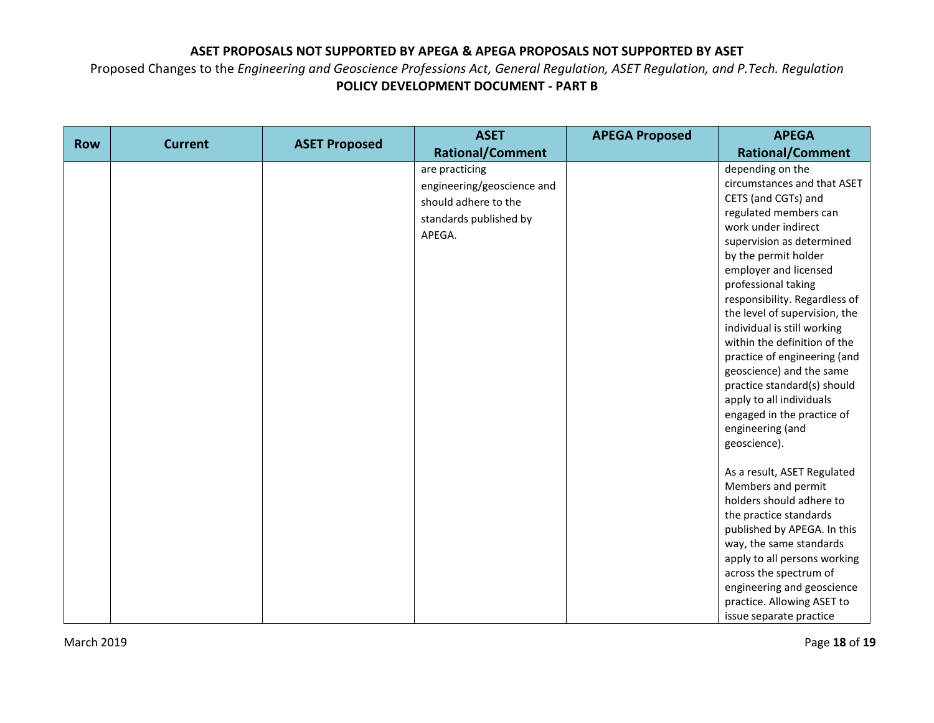|            |                |                      | <b>ASET</b>                                                                                              | <b>APEGA Proposed</b> | <b>APEGA</b>                                                                                                                                                                                                                                                                                                       |
|------------|----------------|----------------------|----------------------------------------------------------------------------------------------------------|-----------------------|--------------------------------------------------------------------------------------------------------------------------------------------------------------------------------------------------------------------------------------------------------------------------------------------------------------------|
| <b>Row</b> | <b>Current</b> | <b>ASET Proposed</b> | <b>Rational/Comment</b>                                                                                  |                       | <b>Rational/Comment</b>                                                                                                                                                                                                                                                                                            |
|            |                |                      | are practicing<br>engineering/geoscience and<br>should adhere to the<br>standards published by<br>APEGA. |                       | depending on the<br>circumstances and that ASET<br>CETS (and CGTs) and<br>regulated members can<br>work under indirect<br>supervision as determined<br>by the permit holder<br>employer and licensed<br>professional taking<br>responsibility. Regardless of                                                       |
|            |                |                      |                                                                                                          |                       | the level of supervision, the<br>individual is still working<br>within the definition of the<br>practice of engineering (and<br>geoscience) and the same<br>practice standard(s) should<br>apply to all individuals<br>engaged in the practice of<br>engineering (and<br>geoscience).                              |
|            |                |                      |                                                                                                          |                       | As a result, ASET Regulated<br>Members and permit<br>holders should adhere to<br>the practice standards<br>published by APEGA. In this<br>way, the same standards<br>apply to all persons working<br>across the spectrum of<br>engineering and geoscience<br>practice. Allowing ASET to<br>issue separate practice |